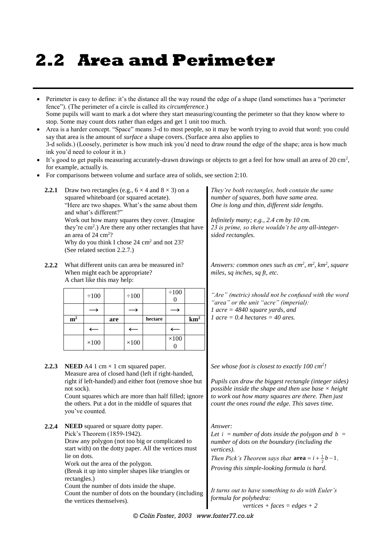# **2.2 Area and Perimeter**

- Perimeter is easy to define: it's the distance all the way round the edge of a shape (land sometimes has a "perimeter fence"). (The perimeter of a circle is called its *circumference*.) Some pupils will want to mark a dot where they start measuring/counting the perimeter so that they know where to stop. Some may count dots rather than edges and get 1 unit too much.
- Area is a harder concept. "Space" means 3-d to most people, so it may be worth trying to avoid that word: you could say that area is the amount of *surface* a shape covers. (Surface area also applies to 3-d solids.) (Loosely, perimeter is how much ink you'd need to draw round the edge of the shape; area is how much ink you'd need to colour it in.)
- It's good to get pupils measuring accurately-drawn drawings or objects to get a feel for how small an area of  $20 \text{ cm}^2$ , for example, actually is.
- For comparisons between volume and surface area of solids, see section 2:10.

| 2.2.1 | Draw two rectangles (e.g., $6 \times 4$ and $8 \times 3$ ) on a<br>squared whiteboard (or squared acetate).<br>"Here are two shapes. What's the same about them<br>and what's different?"<br>Work out how many squares they cover. (Imagine<br>they're cm <sup>2</sup> .) Are there any other rectangles that have<br>an area of 24 cm <sup>2</sup> ?<br>Why do you think I chose 24 cm <sup>2</sup> and not 23?<br>(See related section 2.2.7.) |                                                                                               |     |                   |                                                                                                                                                                                                                                                                                                                   |                                | They're both rectangles, both contain the same<br>number of squares, both have same area.<br>One is long and thin, different side lengths.<br>Infinitely many; e.g., 2.4 cm by 10 cm.<br>23 is prime, so there wouldn't be any all-integer-<br>sided rectangles. |                                                                                                                                                                                                                                                                                                                                                                        |  |  |  |
|-------|--------------------------------------------------------------------------------------------------------------------------------------------------------------------------------------------------------------------------------------------------------------------------------------------------------------------------------------------------------------------------------------------------------------------------------------------------|-----------------------------------------------------------------------------------------------|-----|-------------------|-------------------------------------------------------------------------------------------------------------------------------------------------------------------------------------------------------------------------------------------------------------------------------------------------------------------|--------------------------------|------------------------------------------------------------------------------------------------------------------------------------------------------------------------------------------------------------------------------------------------------------------|------------------------------------------------------------------------------------------------------------------------------------------------------------------------------------------------------------------------------------------------------------------------------------------------------------------------------------------------------------------------|--|--|--|
| 2.2.2 |                                                                                                                                                                                                                                                                                                                                                                                                                                                  | When might each be appropriate?<br>A chart like this may help:                                |     |                   | What different units can area be measured in?                                                                                                                                                                                                                                                                     |                                |                                                                                                                                                                                                                                                                  | Answers: common ones such as $cm^2$ , $m^2$ , $km^2$ , square<br>miles, sq inches, sq ft, etc.                                                                                                                                                                                                                                                                         |  |  |  |
|       | $\div 100$                                                                                                                                                                                                                                                                                                                                                                                                                                       |                                                                                               |     | $\div 100$        |                                                                                                                                                                                                                                                                                                                   | $\div 100$<br>$\boldsymbol{0}$ |                                                                                                                                                                                                                                                                  | "Are" (metric) should not be confused with the word<br>"area" or the unit "acre" (imperial):                                                                                                                                                                                                                                                                           |  |  |  |
|       |                                                                                                                                                                                                                                                                                                                                                                                                                                                  | $\rightarrow$                                                                                 |     | $\longrightarrow$ |                                                                                                                                                                                                                                                                                                                   | $\rightarrow$                  |                                                                                                                                                                                                                                                                  | 1 acre = $4840$ square yards, and<br>1 acre = 0.4 hectares = 40 ares.                                                                                                                                                                                                                                                                                                  |  |  |  |
|       | m <sup>2</sup>                                                                                                                                                                                                                                                                                                                                                                                                                                   |                                                                                               | are |                   | hectare                                                                                                                                                                                                                                                                                                           |                                | $km^2$                                                                                                                                                                                                                                                           |                                                                                                                                                                                                                                                                                                                                                                        |  |  |  |
|       |                                                                                                                                                                                                                                                                                                                                                                                                                                                  | $\leftarrow$                                                                                  |     | $\leftarrow$      |                                                                                                                                                                                                                                                                                                                   | $\leftarrow$<br>$\times 100$   |                                                                                                                                                                                                                                                                  |                                                                                                                                                                                                                                                                                                                                                                        |  |  |  |
|       |                                                                                                                                                                                                                                                                                                                                                                                                                                                  | $\times 100$                                                                                  |     | $\times 100$      |                                                                                                                                                                                                                                                                                                                   | $\overline{0}$                 |                                                                                                                                                                                                                                                                  |                                                                                                                                                                                                                                                                                                                                                                        |  |  |  |
| 2.2.3 | not sock).                                                                                                                                                                                                                                                                                                                                                                                                                                       | you've counted.                                                                               |     |                   | <b>NEED</b> A4 1 cm $\times$ 1 cm squared paper.<br>Measure area of closed hand (left if right-handed,<br>right if left-handed) and either foot (remove shoe but<br>Count squares which are more than half filled; ignore<br>the others. Put a dot in the middle of squares that                                  |                                |                                                                                                                                                                                                                                                                  | See whose foot is closest to exactly $100 \text{ cm}^2$ !<br>Pupils can draw the biggest rectangle (integer sides)<br>possible inside the shape and then use base $\times$ height<br>to work out how many squares are there. Then just<br>count the ones round the edge. This saves time.                                                                              |  |  |  |
| 2.2.4 | lie on dots.<br>rectangles.)                                                                                                                                                                                                                                                                                                                                                                                                                     | Pick's Theorem (1859-1942).<br>Work out the area of the polygon.<br>the vertices themselves). |     |                   | <b>NEED</b> squared or square dotty paper.<br>Draw any polygon (not too big or complicated to<br>start with) on the dotty paper. All the vertices must<br>(Break it up into simpler shapes like triangles or<br>Count the number of dots inside the shape.<br>Count the number of dots on the boundary (including |                                |                                                                                                                                                                                                                                                                  | Answer:<br>Let $i = number of dots inside the polygon and b =$<br>number of dots on the boundary (including the<br>vertices).<br>Then Pick's Theorem says that $\textbf{area} = i + \frac{1}{2}b - 1$ .<br>Proving this simple-looking formula is hard.<br>It turns out to have something to do with Euler's<br>formula for polyhedra:<br>vertices + faces = edges + 2 |  |  |  |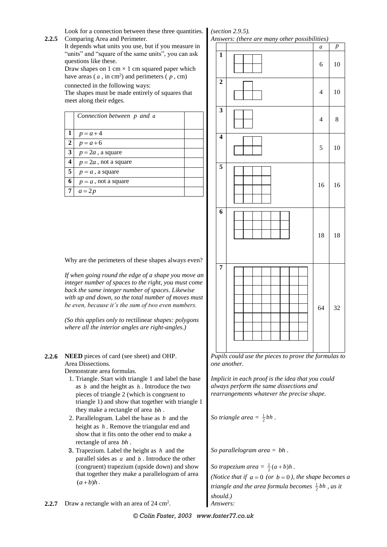Look for a connection between these three quantities. *(section 2.9.5).* 

**2.2.5** Comparing Area and Perimeter. It depends what units you use, but if you measure in "units" and "square of the same units", you can ask

questions like these. Draw shapes on  $1 \text{ cm} \times 1 \text{ cm}$  squared paper which

have areas ( $a$ , in cm<sup>2</sup>) and perimeters ( $p$ , cm)

connected in the following ways:

The shapes must be made entirely of squares that meet along their edges.

|              | Connection between p and a |  |
|--------------|----------------------------|--|
| $\mathbf{1}$ | $p = a + 4$                |  |
| $\mathbf{2}$ | $p = a + 6$                |  |
| $\mathbf{3}$ | $p = 2a$ , a square        |  |
| 4            | $p = 2a$ , not a square    |  |
| 5            | $p = a$ , a square         |  |
| 6            | $p = a$ , not a square     |  |
|              | $a=2p$                     |  |

Why are the perimeters of these shapes always even?

*If when going round the edge of a shape you move an integer number of spaces to the right, you must come back the same integer number of spaces. Likewise with up and down, so the total number of moves must be even, because it's the sum of two even numbers.*

*(So this applies only to* rectilinear *shapes: polygons where all the interior angles are right-angles.)*

**2.2.6 NEED** pieces of card (see sheet) and OHP. Area Dissections.

Demonstrate area formulas.

- 1. Triangle. Start with triangle 1 and label the base as  $b$  and the height as  $h$ . Introduce the two pieces of triangle 2 (which is congruent to triangle 1) and show that together with triangle 1 they make a rectangle of area *bh* .
- 2. Parallelogram. Label the base as *b* and the height as *h* . Remove the triangular end and show that it fits onto the other end to make a rectangle of area *bh* .
- 3. Trapezium. Label the height as *h* and the parallel sides as *a* and *b* . Introduce the other (congruent) trapezium (upside down) and show that together they make a parallelogram of area  $(a + b)h$ .
- **2.2.7** Draw a rectangle with an area of 24 cm<sup>2</sup>.

*Pupils could use the pieces to prove the formulas to one another.*

*Implicit in each proof is the idea that you could always perform the same dissections and rearrangements whatever the precise shape.*

*So triangle area* =  $\frac{1}{2}bh$ .

*So parallelogram area = bh .*

*So trapezium area* =  $\frac{1}{2}(a+b)h$ . *(Notice that if*  $a = 0$  *(or*  $b = 0$ *), the shape becomes a triangle and the area formula becomes*  $\frac{1}{2}$ *bh*, *as it should.)* . *Answers:*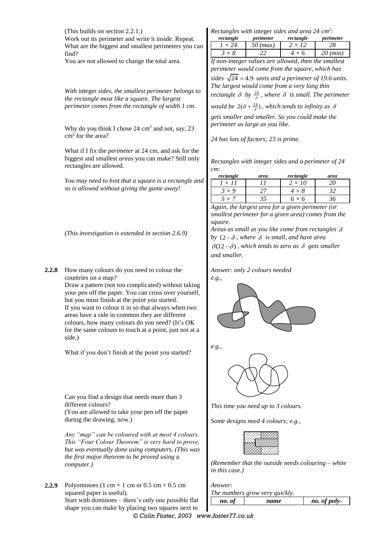(This builds on section 2.2.1.) Work out its perimeter and write it inside. Repeat. What are the biggest and smallest perimeters you can find?

You are not allowed to change the total area.

*With* integer *sides, the smallest perimeter belongs to the rectangle most like a square. The largest perimeter comes from the rectangle of width 1 cm.*

Why do you think I chose  $24 \text{ cm}^2$  and not, say,  $23$ cm<sup>2</sup> for the area?

What if I fix the *perimeter* at 24 cm, and ask for the biggest and smallest *areas* you can make? Still only rectangles are allowed.

*You may need to hint that a square is a rectangle and so is allowed without giving the game away!*

*(This investigation is extended in section 2.6.9)*

**2.2.8** How many colours do you need to colour the countries on a map?

> Draw a pattern (not too complicated) without taking your pen off the paper. You can cross over yourself, but you must finish at the point you started. If you want to colour it in so that always when two areas have a side in common they are different colours, how many colours do you need? (It's OK for the same colours to touch at a point, just not at a side.)

What if you don't finish at the point you started?

Can you find a design that needs more than 3 different colours?

(You are allowed to take your pen off the paper during the drawing, now.)

*Any "map" can be coloured with at most 4 colours. This "Four Colour Theorem" is very hard to prove, but was eventually done using computers. (This was the first major theorem to be proved using a computer.)*

**2.2.9** Polyominoes (1 cm  $\times$  1 cm or 0.5 cm  $\times$  0.5 cm squared paper is useful).

Start with dominoes – there's only one possible flat shape you can make by placing two squares next to

*Rectangles with* integer *sides and area 24 cm<sup>2</sup> :*

| rectangle                                            | perimeter  | rectangle     | perimeter  |  |  |  |
|------------------------------------------------------|------------|---------------|------------|--|--|--|
| $1 \times 24$                                        | $50$ (max) | $2 \times 12$ | 28         |  |  |  |
| $3 \times 8$                                         | 22         | $4 \times 6$  | $20$ (min) |  |  |  |
| If non-integer values are allowed, then the smallest |            |               |            |  |  |  |

*perimeter would come from the square, which has*  sides  $\sqrt{24} = 4.9$  units and a perimeter of 19.6 units. *The largest would come from a very long thin rectangle*  $\delta$  *by*  $\frac{24}{\delta}$ *, where*  $\delta$  *is small. The perimeter* 

*would be*  $2(\delta + \frac{24}{\delta})$ , which tends to infinity as  $\delta$ *gets smaller and smaller. So you could make the perimeter as large as you like.*

*24 has lots of factors; 23 is prime.*

*Rectangles with integer sides and a perimeter of 24 cm:*

| rectangle | area | rectangle    | area |
|-----------|------|--------------|------|
| $\times$  |      | 10<br>' x .  |      |
| $\vee$ Q  |      | $\checkmark$ |      |
|           |      |              |      |

*Again, the largest area for a given perimeter (or smallest perimeter for a given area) comes from the square.*

*Areas as small as you like come from rectangles*  by  $12 - \delta$ , where  $\delta$  is small, and have area  $\delta(12-\delta)$ , which tends to zero as  $\delta$  gets smaller *and smaller.*

*Answer: only 2 colours needed e.g.,*



*e.g.,*



*This time you need up to 3 colours.*

*Some designs need 4 colours; e.g.,*



*(Remember that the outside needs colouring – white in this case.)*

*Answer: The numbers grow very quickly. no. of* 

| name | no. of poly- |
|------|--------------|
|      |              |

*© Colin Foster, 2003 www.foster77.co.uk*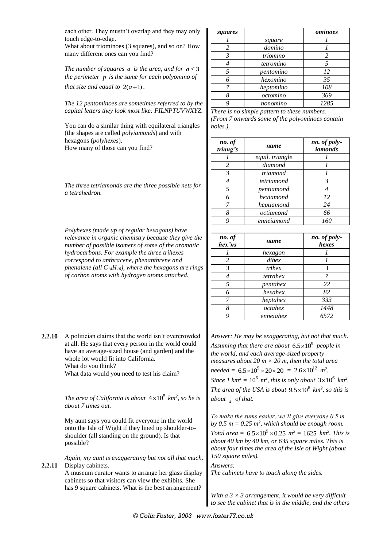each other. They mustn't overlap and they may only touch edge-to-edge.

What about triominoes (3 squares), and so on? How many different ones can you find?

The number of squares  $a$  is the area, and for  $a \leq 3$ *the perimeter p is the same for each polyomino of that size and equal to*  $2(a+1)$ .

*The 12 pentominoes are sometimes referred to by the capital letters they look most like: FILNPTUVWXYZ.*

You can do a similar thing with equilateral triangles (the shapes are called *polyiamonds*) and with hexagons (*polyhexes*). How many of those can you find?

|                | The three tetriamonds are the three possible nets for |  |  |
|----------------|-------------------------------------------------------|--|--|
| a tetrahedron. |                                                       |  |  |

*Polyhexes (made up of regular hexagons) have relevance in organic chemistry because they give the number of possible isomers of some of the aromatic hydrocarbons. For example the three trihexes correspond to anthracene, phenanthrene and phenalene (all C14H10), where the hexagons are rings of carbon atoms with hydrogen atoms attached.*

**2.2.10** A politician claims that the world isn't overcrowded at all. He says that every person in the world could have an average-sized house (and garden) and the whole lot would fit into California. What do you think? What data would you need to test his claim?

> The area of California is about  $4 \times 10^5$  km<sup>2</sup>, so he is *about 7 times out.*

My aunt says you could fit everyone in the world onto the Isle of Wight if they lined up shoulder-toshoulder (all standing on the ground). Is that possible?

*Again, my aunt is exaggerating but not all that much.* **2.2.11** Display cabinets.

A museum curator wants to arrange her glass display cabinets so that visitors can view the exhibits. She has 9 square cabinets. What is the best arrangement?

| squares |           | ominoes |
|---------|-----------|---------|
|         | square    |         |
| 2       | domino    |         |
| 3       | triomino  | 2       |
|         | tetromino |         |
| 5       | pentomino | 12      |
| 6       | hexomino  | 35      |
|         | heptomino | 108     |
|         | octomino  | 369     |
|         | nonomino  | 1285    |

*There is no simple pattern to these numbers. (From 7 onwards some of the polyominoes contain holes.)*

| no. of<br>triang's | name            | no. of poly-<br>iamonds |
|--------------------|-----------------|-------------------------|
|                    | equil. triangle |                         |
| $\mathcal{L}$      | diamond         |                         |
| 3                  | triamond        |                         |
|                    | tetriamond      | 3                       |
|                    | pentiamond      |                         |
|                    | hexiamond       | 12                      |
|                    | heptiamond      | 24                      |
|                    | octiamond       | 66                      |
|                    | enneiamond      | 160                     |

| no. of<br>hex'ns | name      | no. of poly-<br>hexes |
|------------------|-----------|-----------------------|
|                  | hexagon   |                       |
| 2                | dihex     |                       |
| 3                | trihex    | $\mathcal{R}$         |
|                  | tetrahex  | 7                     |
| 5                | pentahex  | 22                    |
| 6                | hexahex   | 82                    |
| 7                | heptahex  | 333                   |
| 8                | octahex   | 1448                  |
|                  | enneiahex | 6572                  |

*Answer: He may be exaggerating, but not that much.*  Assuming that there are about  $6.5\times10^9$  people in *the world, and each average-sized property measures about 20 m × 20 m, then the total area*   $\text{needed} = 6.5 \times 10^9 \times 20 \times 20 = 2.6 \times 10^{12} \text{ m}^2.$ *Since 1*  $km^2 = 10^6$   $m^2$ , *this is only about*  $3 \times 10^6$   $km^2$ . The area of the USA is about  $9.5 \times 10^6$  km<sup>2</sup>, so this is *about*  $\frac{1}{4}$  *of that.* 

*To make the sums easier, we'll give everyone 0.5 m*  by  $0.5$   $m = 0.25$   $m^2$ , which should be enough room. *Total area* =  $6.5 \times 10^9 \times 0.25$   $m^2 = 1625$   $km^2$ . This is *about 40 km by 40 km, or 635 square miles. This is about four times the area of the Isle of Wight (about 150 square miles).*

*Answers: The cabinets have to touch along the sides.*

*With a 3 × 3 arrangement, it would be very difficult to see the cabinet that is in the middle, and the others*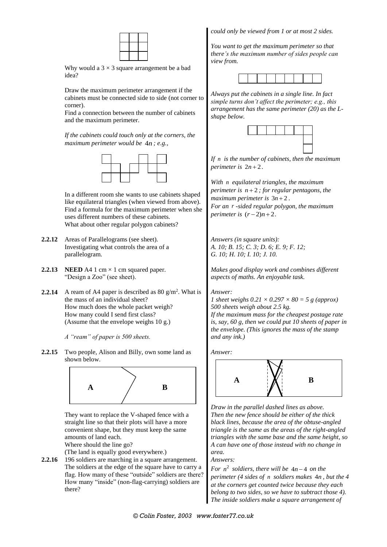

Why would a  $3 \times 3$  square arrangement be a bad idea?

Draw the maximum perimeter arrangement if the cabinets must be connected side to side (not corner to corner).

Find a connection between the number of cabinets and the maximum perimeter.

*If the cabinets could touch only at the corners, the maximum perimeter would be*  4*n ; e.g.,*



In a different room she wants to use cabinets shaped like equilateral triangles (when viewed from above). Find a formula for the maximum perimeter when she uses different numbers of these cabinets. What about other regular polygon cabinets?

- **2.2.12** Areas of Parallelograms (see sheet). Investigating what controls the area of a parallelogram.
- **2.2.13 NEED** A4 1 cm  $\times$  1 cm squared paper. "Design a Zoo" (see sheet).
- **2.2.14** A ream of A4 paper is described as 80  $g/m^2$ . What is the mass of an individual sheet? How much does the whole packet weigh? How many could I send first class? (Assume that the envelope weighs 10 g.)

*A "ream" of paper is 500 sheets.*

**2.2.15** Two people, Alison and Billy, own some land as shown below.



They want to replace the V-shaped fence with a straight line so that their plots will have a more convenient shape, but they must keep the same amounts of land each.

Where should the line go?

(The land is equally good everywhere.)

**2.2.16** 196 soldiers are marching in a square arrangement. The soldiers at the edge of the square have to carry a flag. How many of these "outside" soldiers are there? How many "inside" (non-flag-carrying) soldiers are there?

*could only be viewed from 1 or at most 2 sides.*

*You want to get the maximum perimeter so that there's the maximum number of sides people can view from.*



*Always put the cabinets in a single line. In fact simple turns don't affect the perimeter; e.g., this arrangement has the same perimeter (20) as the Lshape below.*



*If n is the number of cabinets, then the maximum perimeter is*  $2n + 2$ .

*With n equilateral triangles, the maximum perimeter is n* 2 *; for regular pentagons, the maximum perimeter is*  $3n + 2$ . *For an r -sided regular polygon, the maximum perimeter is*  $(r-2)n + 2$ .

*Answers (in square units): A. 10; B. 15; C. 3; D. 6; E. 9; F. 12; G. 10; H. 10; I. 10; J. 10.*

*Makes good display work and combines different aspects of maths. An enjoyable task.*

#### *Answer:*

*1 sheet weighs 0.21 × 0.297 × 80 = 5 g (approx) 500 sheets weigh about 2.5 kg. If the maximum mass for the cheapest postage rate is, say, 60 g, then we could put 10 sheets of paper in the envelope. (This ignores the mass of the stamp and any ink.)*

*Answer:*



*Draw in the parallel dashed lines as above. Then the new fence should be either of the thick black lines, because the area of the obtuse-angled triangle is the same as the areas of the right-angled triangles with the same base and the same height, so A can have one of those instead with no change in area.*

#### *Answers:*

For  $n^2$  soldiers, there will be  $4n-4$  on the *perimeter (4 sides of n soldiers makes*  4*n , but the 4 at the corners get counted twice because they each belong to two sides, so we have to subtract those 4). The inside soldiers make a square arrangement of*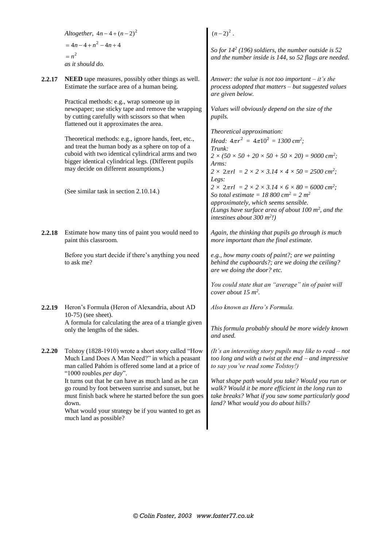|        | Altogether, $4n - 4 + (n - 2)^2$                                                                                                                                                                                                                                | $(n-2)^2$ .                                                                                                                                                                                                                                                                                       |
|--------|-----------------------------------------------------------------------------------------------------------------------------------------------------------------------------------------------------------------------------------------------------------------|---------------------------------------------------------------------------------------------------------------------------------------------------------------------------------------------------------------------------------------------------------------------------------------------------|
|        | $= 4n - 4 + n^2 - 4n + 4$<br>$= n^2$<br>as it should do.                                                                                                                                                                                                        | So for $14^2$ (196) soldiers, the number outside is 52<br>and the number inside is 144, so 52 flags are needed.                                                                                                                                                                                   |
| 2.2.17 | NEED tape measures, possibly other things as well.<br>Estimate the surface area of a human being.                                                                                                                                                               | Answer: the value is not too important $-$ it's the<br>process adopted that matters - but suggested values<br>are given below.                                                                                                                                                                    |
|        | Practical methods: e.g., wrap someone up in<br>newspaper; use sticky tape and remove the wrapping<br>by cutting carefully with scissors so that when<br>flattened out it approximates the area.                                                                 | Values will obviously depend on the size of the<br>pupils.                                                                                                                                                                                                                                        |
|        |                                                                                                                                                                                                                                                                 | Theoretical approximation:                                                                                                                                                                                                                                                                        |
|        | Theoretical methods: e.g., ignore hands, feet, etc.,<br>and treat the human body as a sphere on top of a<br>cuboid with two identical cylindrical arms and two<br>bigger identical cylindrical legs. (Different pupils<br>may decide on different assumptions.) | <i>Head:</i> $4\pi r^2 = 4\pi 10^2 = 1300$ cm <sup>2</sup> ;<br>Trunk:<br>$2 \times (50 \times 50 + 20 \times 50 + 50 \times 20) = 9000 \text{ cm}^2$ ;<br>Arms:<br>$2 \times 2\pi rl$ = $2 \times 2 \times 3.14 \times 4 \times 50 = 2500 \text{ cm}^2$ ;                                        |
|        | (See similar task in section 2.10.14.)                                                                                                                                                                                                                          | Legs:<br>$2 \times 2\pi rl$ = $2 \times 2 \times 3.14 \times 6 \times 80 = 6000 \text{ cm}^2$ ;<br>So total estimate = 18 800 cm <sup>2</sup> = 2 m <sup>2</sup><br>approximately, which seems sensible.<br>(Lungs have surface area of about 100 $m^2$ , and the<br>intestines about 300 $m^2$ . |
| 2.2.18 | Estimate how many tins of paint you would need to<br>paint this classroom.                                                                                                                                                                                      | Again, the thinking that pupils go through is much<br>more important than the final estimate.                                                                                                                                                                                                     |
|        | Before you start decide if there's anything you need<br>to ask me?                                                                                                                                                                                              | e.g., how many coats of paint?; are we painting<br>behind the cupboards?; are we doing the ceiling?<br>are we doing the door? etc.                                                                                                                                                                |
|        |                                                                                                                                                                                                                                                                 | You could state that an "average" tin of paint will<br>cover about $15 \text{ m}^2$ .                                                                                                                                                                                                             |
| 2.2.19 | Heron's Formula (Heron of Alexandria, about AD<br>10-75) (see sheet).                                                                                                                                                                                           | Also known as Hero's Formula.                                                                                                                                                                                                                                                                     |
|        | A formula for calculating the area of a triangle given<br>only the lengths of the sides.                                                                                                                                                                        | This formula probably should be more widely known<br>and used.                                                                                                                                                                                                                                    |
| 2.2.20 | Tolstoy (1828-1910) wrote a short story called "How<br>Much Land Does A Man Need?" in which a peasant<br>man called Pahóm is offered some land at a price of<br>"1000 roubles per day".                                                                         | (It's an interesting story pupils may like to read $-$ not<br>too long and with a twist at the end $-$ and impressive<br>to say you've read some Tolstoy!)                                                                                                                                        |
|        | It turns out that he can have as much land as he can<br>go round by foot between sunrise and sunset, but he<br>must finish back where he started before the sun goes<br>down.<br>What would your strategy be if you wanted to get as<br>much land as possible?  | What shape path would you take? Would you run or<br>walk? Would it be more efficient in the long run to<br>take breaks? What if you saw some particularly good<br>land? What would you do about hills?                                                                                            |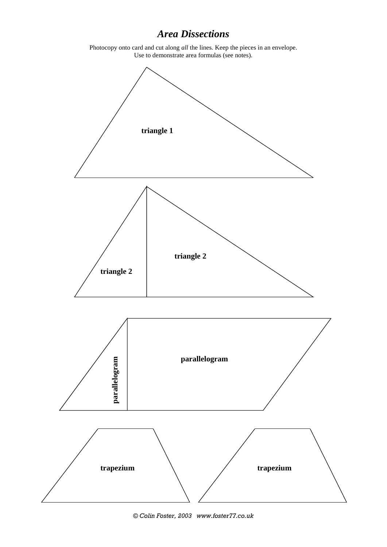# *Area Dissections*

Photocopy onto card and cut along *all* the lines. Keep the pieces in an envelope. Use to demonstrate area formulas (see notes).

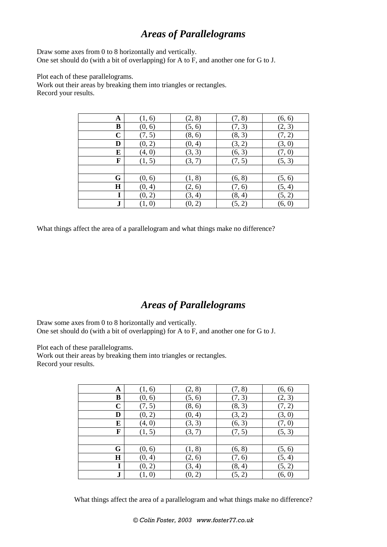## *Areas of Parallelograms*

Draw some axes from 0 to 8 horizontally and vertically. One set should do (with a bit of overlapping) for A to F, and another one for G to J.

Plot each of these parallelograms.

Work out their areas by breaking them into triangles or rectangles. Record your results.

| A           | (1, 6) | (2, 8) | (7, 8) | (6, 6) |
|-------------|--------|--------|--------|--------|
| B           | (0, 6) | (5, 6) | (7, 3) | (2, 3) |
| $\mathbf C$ | (7, 5) | (8, 6) | (8, 3) | (7, 2) |
| D           | (0, 2) | (0, 4) | (3, 2) | (3, 0) |
| Е           | (4, 0) | (3, 3) | (6, 3) | (7, 0) |
| F           | (1, 5) | (3, 7) | (7, 5) | (5, 3) |
|             |        |        |        |        |
| G           | (0, 6) | (1, 8) | (6, 8) | (5, 6) |
| $\bf H$     | (0, 4) | (2, 6) | (7, 6) | (5, 4) |
| I           | (0, 2) | (3, 4) | (8, 4) | (5, 2) |
| ${\bf J}$   | (1, 0) | (0, 2) | (5, 2) | (6, 0) |

What things affect the area of a parallelogram and what things make no difference?

# *Areas of Parallelograms*

Draw some axes from 0 to 8 horizontally and vertically. One set should do (with a bit of overlapping) for A to F, and another one for G to J.

Plot each of these parallelograms.

Work out their areas by breaking them into triangles or rectangles. Record your results.

| A           | (1, 6) | (2, 8) | (7, 8) | (6, 6) |
|-------------|--------|--------|--------|--------|
| B           | (0, 6) | (5, 6) | (7, 3) | (2, 3) |
| $\mathbf C$ | (7, 5) | (8, 6) | (8, 3) | (7, 2) |
| D           | (0, 2) | (0, 4) | (3, 2) | (3, 0) |
| E           | (4, 0) | (3, 3) | (6, 3) | (7, 0) |
| F           | (1, 5) | (3, 7) | (7, 5) | (5, 3) |
|             |        |        |        |        |
| G           | (0, 6) | (1, 8) | (6, 8) | (5, 6) |
| H           | (0, 4) | (2, 6) | (7, 6) | (5, 4) |
| I           | (0, 2) | (3, 4) | (8, 4) | (5, 2) |
| ${\bf J}$   | (1, 0) | (0, 2) | (5, 2) | (6, 0) |

What things affect the area of a parallelogram and what things make no difference?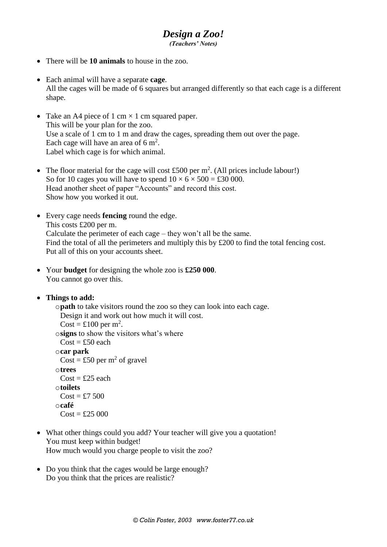#### *Design a Zoo! (Teachers' Notes)*

- There will be **10 animals** to house in the zoo.
- Each animal will have a separate **cage**. All the cages will be made of 6 squares but arranged differently so that each cage is a different shape.
- Take an A4 piece of 1 cm  $\times$  1 cm squared paper. This will be your plan for the zoo. Use a scale of 1 cm to 1 m and draw the cages, spreading them out over the page. Each cage will have an area of  $6 \text{ m}^2$ . Label which cage is for which animal.
- The floor material for the cage will cost £500 per  $m^2$ . (All prices include labour!) So for 10 cages you will have to spend  $10 \times 6 \times 500 = \text{\pounds}30\,000$ . Head another sheet of paper "Accounts" and record this cost. Show how you worked it out.
- Every cage needs **fencing** round the edge. This costs £200 per m. Calculate the perimeter of each cage – they won't all be the same. Find the total of all the perimeters and multiply this by £200 to find the total fencing cost. Put all of this on your accounts sheet.
- Your **budget** for designing the whole zoo is **£250 000**. You cannot go over this.

### **Things to add:**

```
opath to take visitors round the zoo so they can look into each cage.
 Design it and work out how much it will cost.
 \text{Cost} = \pounds 100 \text{ per m}^2.
osigns to show the visitors what's where
 Cost = £50 each
ocar park
 Cost = £50 per m<sup>2</sup> of gravel
otrees
 Cost = £25 each
otoilets
 Cost = £7,500ocafé
 Cost = £25,000
```
- What other things could you add? Your teacher will give you a quotation! You must keep within budget! How much would you charge people to visit the zoo?
- Do you think that the cages would be large enough? Do you think that the prices are realistic?